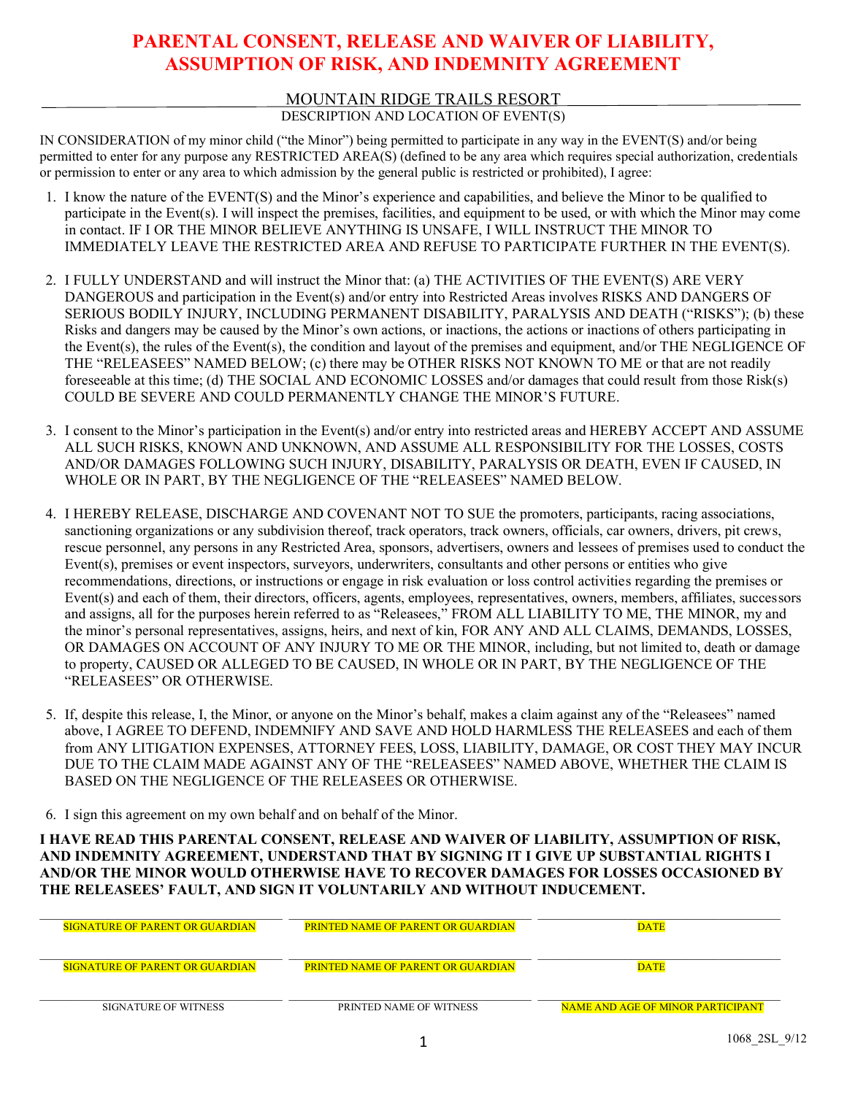# **PARENTAL CONSENT, RELEASE AND WAIVER OF LIABILITY, ASSUMPTION OF RISK, AND INDEMNITY AGREEMENT**

### MOUNTAIN RIDGE TRAILS RESORT

### DESCRIPTION AND LOCATION OF EVENT(S)

IN CONSIDERATION of my minor child ("the Minor") being permitted to participate in any way in the EVENT(S) and/or being permitted to enter for any purpose any RESTRICTED AREA(S) (defined to be any area which requires special authorization, credentials or permission to enter or any area to which admission by the general public is restricted or prohibited), I agree:

- 1. I know the nature of the EVENT(S) and the Minor's experience and capabilities, and believe the Minor to be qualified to participate in the Event(s). I will inspect the premises, facilities, and equipment to be used, or with which the Minor may come in contact. IF I OR THE MINOR BELIEVE ANYTHING IS UNSAFE, I WILL INSTRUCT THE MINOR TO IMMEDIATELY LEAVE THE RESTRICTED AREA AND REFUSE TO PARTICIPATE FURTHER IN THE EVENT(S).
- 2. I FULLY UNDERSTAND and will instruct the Minor that: (a) THE ACTIVITIES OF THE EVENT(S) ARE VERY DANGEROUS and participation in the Event(s) and/or entry into Restricted Areas involves RISKS AND DANGERS OF SERIOUS BODILY INJURY, INCLUDING PERMANENT DISABILITY, PARALYSIS AND DEATH ("RISKS"); (b) these Risks and dangers may be caused by the Minor's own actions, or inactions, the actions or inactions of others participating in the Event(s), the rules of the Event(s), the condition and layout of the premises and equipment, and/or THE NEGLIGENCE OF THE "RELEASEES" NAMED BELOW; (c) there may be OTHER RISKS NOT KNOWN TO ME or that are not readily foreseeable at this time; (d) THE SOCIAL AND ECONOMIC LOSSES and/or damages that could result from those Risk(s) COULD BE SEVERE AND COULD PERMANENTLY CHANGE THE MINOR'S FUTURE.
- 3. I consent to the Minor's participation in the Event(s) and/or entry into restricted areas and HEREBY ACCEPT AND ASSUME ALL SUCH RISKS, KNOWN AND UNKNOWN, AND ASSUME ALL RESPONSIBILITY FOR THE LOSSES, COSTS AND/OR DAMAGES FOLLOWING SUCH INJURY, DISABILITY, PARALYSIS OR DEATH, EVEN IF CAUSED, IN WHOLE OR IN PART, BY THE NEGLIGENCE OF THE "RELEASEES" NAMED BELOW.
- 4. I HEREBY RELEASE, DISCHARGE AND COVENANT NOT TO SUE the promoters, participants, racing associations, sanctioning organizations or any subdivision thereof, track operators, track owners, officials, car owners, drivers, pit crews, rescue personnel, any persons in any Restricted Area, sponsors, advertisers, owners and lessees of premises used to conduct the Event(s), premises or event inspectors, surveyors, underwriters, consultants and other persons or entities who give recommendations, directions, or instructions or engage in risk evaluation or loss control activities regarding the premises or Event(s) and each of them, their directors, officers, agents, employees, representatives, owners, members, affiliates, successors and assigns, all for the purposes herein referred to as "Releasees," FROM ALL LIABILITY TO ME, THE MINOR, my and the minor's personal representatives, assigns, heirs, and next of kin, FOR ANY AND ALL CLAIMS, DEMANDS, LOSSES, OR DAMAGES ON ACCOUNT OF ANY INJURY TO ME OR THE MINOR, including, but not limited to, death or damage to property, CAUSED OR ALLEGED TO BE CAUSED, IN WHOLE OR IN PART, BY THE NEGLIGENCE OF THE "RELEASEES" OR OTHERWISE.
- 5. If, despite this release, I, the Minor, or anyone on the Minor's behalf, makes a claim against any of the "Releasees" named above, I AGREE TO DEFEND, INDEMNIFY AND SAVE AND HOLD HARMLESS THE RELEASEES and each of them from ANY LITIGATION EXPENSES, ATTORNEY FEES, LOSS, LIABILITY, DAMAGE, OR COST THEY MAY INCUR DUE TO THE CLAIM MADE AGAINST ANY OF THE "RELEASEES" NAMED ABOVE, WHETHER THE CLAIM IS BASED ON THE NEGLIGENCE OF THE RELEASEES OR OTHERWISE.
- 6. I sign this agreement on my own behalf and on behalf of the Minor.

**I HAVE READ THIS PARENTAL CONSENT, RELEASE AND WAIVER OF LIABILITY, ASSUMPTION OF RISK, AND INDEMNITY AGREEMENT, UNDERSTAND THAT BY SIGNING IT I GIVE UP SUBSTANTIAL RIGHTS I AND/OR THE MINOR WOULD OTHERWISE HAVE TO RECOVER DAMAGES FOR LOSSES OCCASIONED BY THE RELEASEES' FAULT, AND SIGN IT VOLUNTARILY AND WITHOUT INDUCEMENT.**

| <b>SIGNATURE OF PARENT OR GUARDIAN</b> | <b>PRINTED NAME OF PARENT OR GUARDIAN</b> | DATE                                     |
|----------------------------------------|-------------------------------------------|------------------------------------------|
| <b>SIGNATURE OF PARENT OR GUARDIAN</b> | <b>PRINTED NAME OF PARENT OR GUARDIAN</b> | <b>DATE</b>                              |
| SIGNATURE OF WITNESS                   | PRINTED NAME OF WITNESS                   | <b>NAME AND AGE OF MINOR PARTICIPANT</b> |